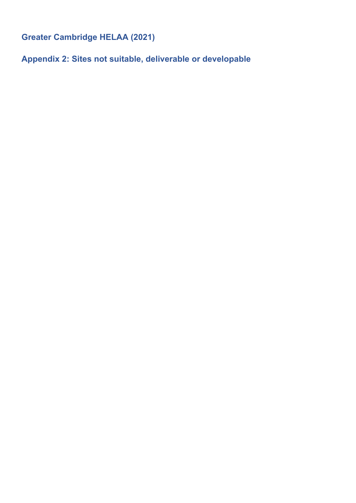**Greater Cambridge HELAA (2021)** 

**Appendix 2: Sites not suitable, deliverable or developable**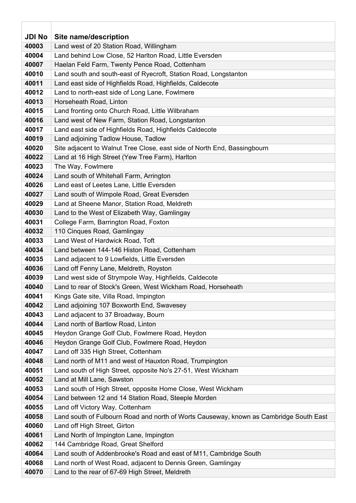| <b>JDI No</b> | Site name/description                                                                  |
|---------------|----------------------------------------------------------------------------------------|
| 40003         | Land west of 20 Station Road, Willingham                                               |
| 40004         | Land behind Low Close, 52 Harlton Road, Little Eversden                                |
| 40007         | Haelan Feld Farm, Twenty Pence Road, Cottenham                                         |
| 40010         | Land south and south-east of Ryecroft, Station Road, Longstanton                       |
| 40011         | Land east side of Highfields Road, Highfields, Caldecote                               |
| 40012         | Land to north-east side of Long Lane, Fowlmere                                         |
| 40013         | Horseheath Road, Linton                                                                |
| 40015         | Land fronting onto Church Road, Little Wilbraham                                       |
| 40016         | Land west of New Farm, Station Road, Longstanton                                       |
| 40017         | Land east side of Highfields Road, Highfields Caldecote                                |
| 40019         | Land adjoining Tadlow House, Tadlow                                                    |
| 40020         | Site adjacent to Walnut Tree Close, east side of North End, Bassingbourn               |
| 40022         | Land at 16 High Street (Yew Tree Farm), Harlton                                        |
| 40023         | The Way, Fowlmere                                                                      |
| 40024         | Land south of Whitehall Farm, Arrington                                                |
| 40026         | Land east of Leetes Lane, Little Eversden                                              |
| 40027         | Land south of Wimpole Road, Great Eversden                                             |
| 40029         | Land at Sheene Manor, Station Road, Meldreth                                           |
| 40030         | Land to the West of Elizabeth Way, Gamlingay                                           |
| 40031         | College Farm, Barrington Road, Foxton                                                  |
| 40032         | 110 Cinques Road, Gamlingay                                                            |
| 40033         | Land West of Hardwick Road, Toft                                                       |
| 40034         | Land between 144-146 Histon Road, Cottenham                                            |
| 40035         | Land adjacent to 9 Lowfields, Little Eversden                                          |
| 40036         | Land off Fenny Lane, Meldreth, Royston                                                 |
| 40039         | Land west side of Strympole Way, Highfields, Caldecote                                 |
| 40040         | Land to rear of Stock's Green, West Wickham Road, Horseheath                           |
| 40041         | Kings Gate site, Villa Road, Impington                                                 |
| 40042         | Land adjoining 107 Boxworth End, Swavesey                                              |
| 40043         | Land adjacent to 37 Broadway, Bourn                                                    |
| 40044         | Land north of Bartlow Road, Linton                                                     |
| 40045         | Heydon Grange Golf Club, Fowlmere Road, Heydon                                         |
| 40046         | Heydon Grange Golf Club, Fowlmere Road, Heydon                                         |
| 40047         | Land off 335 High Street, Cottenham                                                    |
| 40048         | Land north of M11 and west of Hauxton Road, Trumpington                                |
| 40051         | Land south of High Street, opposite No's 27-51, West Wickham                           |
| 40052         | Land at Mill Lane, Sawston                                                             |
| 40053         | Land south of High Street, opposite Home Close, West Wickham                           |
| 40054         | Land between 12 and 14 Station Road, Steeple Morden                                    |
| 40055         | Land off Victory Way, Cottenham                                                        |
| 40058         | Land south of Fulbourn Road and north of Worts Causeway, known as Cambridge South East |
| 40060         | Land off High Street, Girton                                                           |
| 40061         | Land North of Impington Lane, Impington                                                |
| 40062         | 144 Cambridge Road, Great Shelford                                                     |
| 40064         | Land south of Addenbrooke's Road and east of M11, Cambridge South                      |
| 40068         | Land north of West Road, adjacent to Dennis Green, Gamlingay                           |
| 40070         | Land to the rear of 67-69 High Street, Meldreth                                        |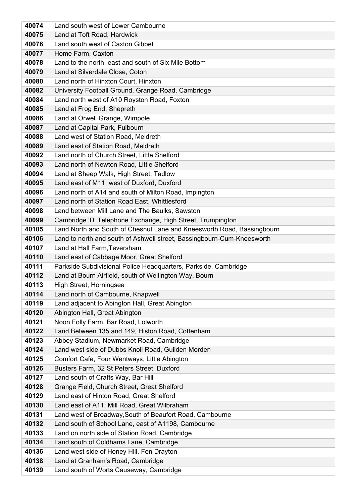| 40074          | Land south west of Lower Cambourne                                                                           |
|----------------|--------------------------------------------------------------------------------------------------------------|
| 40075          | Land at Toft Road, Hardwick                                                                                  |
| 40076          | Land south west of Caxton Gibbet                                                                             |
| 40077          | Home Farm, Caxton                                                                                            |
| 40078          | Land to the north, east and south of Six Mile Bottom                                                         |
| 40079          | Land at Silverdale Close, Coton                                                                              |
| 40080          | Land north of Hinxton Court, Hinxton                                                                         |
| 40082          | University Football Ground, Grange Road, Cambridge                                                           |
| 40084          | Land north west of A10 Royston Road, Foxton                                                                  |
| 40085          | Land at Frog End, Shepreth                                                                                   |
| 40086          | Land at Orwell Grange, Wimpole                                                                               |
| 40087          | Land at Capital Park, Fulbourn                                                                               |
| 40088          | Land west of Station Road, Meldreth                                                                          |
| 40089          | Land east of Station Road, Meldreth                                                                          |
| 40092          | Land north of Church Street, Little Shelford                                                                 |
| 40093          | Land north of Newton Road, Little Shelford                                                                   |
| 40094          | Land at Sheep Walk, High Street, Tadlow                                                                      |
| 40095          | Land east of M11, west of Duxford, Duxford                                                                   |
| 40096          | Land north of A14 and south of Milton Road, Impington                                                        |
| 40097          | Land north of Station Road East, Whittlesford                                                                |
| 40098          | Land between Mill Lane and The Baulks, Sawston                                                               |
| 40099          | Cambridge 'D' Telephone Exchange, High Street, Trumpington                                                   |
| 40105          | Land North and South of Chesnut Lane and Kneesworth Road, Bassingbourn                                       |
| 40106          | Land to north and south of Ashwell street, Bassingbourn-Cum-Kneesworth                                       |
| 40107<br>40110 | Land at Hall Farm, Teversham                                                                                 |
| 40111          | Land east of Cabbage Moor, Great Shelford<br>Parkside Subdivisional Police Headquarters, Parkside, Cambridge |
| 40112          | Land at Bourn Airfield, south of Wellington Way, Bourn                                                       |
| 40113          | High Street, Horningsea                                                                                      |
| 40114          | Land north of Cambourne, Knapwell                                                                            |
| 40119          | Land adjacent to Abington Hall, Great Abington                                                               |
| 40120          | Abington Hall, Great Abington                                                                                |
| 40121          | Noon Folly Farm, Bar Road, Lolworth                                                                          |
| 40122          | Land Between 135 and 149, Histon Road, Cottenham                                                             |
| 40123          | Abbey Stadium, Newmarket Road, Cambridge                                                                     |
| 40124          | Land west side of Dubbs Knoll Road, Guilden Morden                                                           |
| 40125          | Comfort Cafe, Four Wentways, Little Abington                                                                 |
| 40126          | Busters Farm, 32 St Peters Street, Duxford                                                                   |
| 40127          | Land south of Crafts Way, Bar Hill                                                                           |
| 40128          | Grange Field, Church Street, Great Shelford                                                                  |
| 40129          | Land east of Hinton Road, Great Shelford                                                                     |
| 40130          | Land east of A11, Mill Road, Great Wilbraham                                                                 |
| 40131          | Land west of Broadway, South of Beaufort Road, Cambourne                                                     |
| 40132          | Land south of School Lane, east of A1198, Cambourne                                                          |
| 40133          | Land on north side of Station Road, Cambridge                                                                |
| 40134          | Land south of Coldhams Lane, Cambridge                                                                       |
| 40136          | Land west side of Honey Hill, Fen Drayton                                                                    |
| 40138          | Land at Granham's Road, Cambridge                                                                            |
| 40139          | Land south of Worts Causeway, Cambridge                                                                      |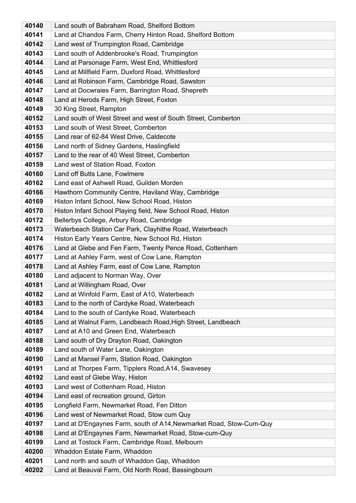| 40140          | Land south of Babraham Road, Shelford Bottom                                                         |
|----------------|------------------------------------------------------------------------------------------------------|
| 40141          | Land at Chandos Farm, Cherry Hinton Road, Shelford Bottom                                            |
| 40142          | Land west of Trumpington Road, Cambridge                                                             |
| 40143          | Land south of Addenbrooke's Road, Trumpington                                                        |
| 40144          | Land at Parsonage Farm, West End, Whittlesford                                                       |
| 40145          | Land at Millfield Farm, Duxford Road, Whittlesford                                                   |
| 40146          | Land at Robinson Farm, Cambridge Road, Sawston                                                       |
| 40147          | Land at Docwraies Farm, Barrington Road, Shepreth                                                    |
| 40148          | Land at Herods Farm, High Street, Foxton                                                             |
| 40149          | 30 King Street, Rampton                                                                              |
| 40152          | Land south of West Street and west of South Street, Comberton                                        |
| 40153          | Land south of West Street, Comberton                                                                 |
| 40155          | Land rear of 62-84 West Drive, Caldecote                                                             |
| 40156          | Land north of Sidney Gardens, Haslingfield                                                           |
| 40157          | Land to the rear of 40 West Street, Comberton                                                        |
| 40159          | Land west of Station Road, Foxton                                                                    |
| 40160          | Land off Butts Lane, Fowlmere                                                                        |
| 40162          | Land east of Ashwell Road, Guilden Morden                                                            |
| 40166          | Hawthorn Community Centre, Haviland Way, Cambridge                                                   |
| 40169          | Histon Infant School, New School Road, Histon                                                        |
| 40170          | Histon Infant School Playing field, New School Road, Histon                                          |
| 40172          | Bellerbys College, Arbury Road, Cambridge                                                            |
| 40173          | Waterbeach Station Car Park, Clayhithe Road, Waterbeach                                              |
| 40174          | Histon Early Years Centre, New School Rd, Histon                                                     |
| 40176          | Land at Glebe and Fen Farm, Twenty Pence Road, Cottenham                                             |
| 40177          | Land at Ashley Farm, west of Cow Lane, Rampton                                                       |
| 40178          | Land at Ashley Farm, east of Cow Lane, Rampton                                                       |
| 40180          | Land adjacent to Norman Way, Over                                                                    |
| 40181          | Land at Willingham Road, Over                                                                        |
| 40182          | Land at Winfold Farm, East of A10, Waterbeach                                                        |
| 40183          | Land to the north of Cardyke Road, Waterbeach                                                        |
| 40184<br>40185 | Land to the south of Cardyke Road, Waterbeach                                                        |
| 40187          | Land at Walnut Farm, Landbeach Road, High Street, Landbeach<br>Land at A10 and Green End, Waterbeach |
| 40188          | Land south of Dry Drayton Road, Oakington                                                            |
| 40189          | Land south of Water Lane, Oakington                                                                  |
| 40190          | Land at Mansel Farm, Station Road, Oakington                                                         |
| 40191          | Land at Thorpes Farm, Tipplers Road, A14, Swavesey                                                   |
| 40192          | Land east of Glebe Way, Histon                                                                       |
| 40193          | Land west of Cottenham Road, Histon                                                                  |
| 40194          | Land east of recreation ground, Girton                                                               |
| 40195          | Longfield Farm, Newmarket Road, Fen Ditton                                                           |
| 40196          | Land west of Newmarket Road, Stow cum Quy                                                            |
| 40197          | Land at D'Engaynes Farm, south of A14, Newmarket Road, Stow-Cum-Quy                                  |
| 40198          | Land at D'Engaynes Farm, Newmarket Road, Stow-cum-Quy                                                |
| 40199          | Land at Tostock Farm, Cambridge Road, Melbourn                                                       |
| 40200          | Whaddon Estate Farm, Whaddon                                                                         |
| 40201          | Land north and south of Whaddon Gap, Whaddon                                                         |
| 40202          | Land at Beauval Farm, Old North Road, Bassingbourn                                                   |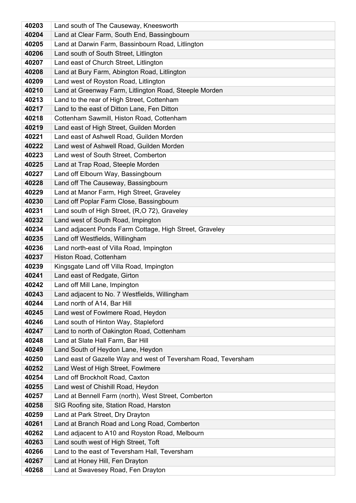| 40203          | Land south of The Causeway, Kneesworth                             |
|----------------|--------------------------------------------------------------------|
| 40204          | Land at Clear Farm, South End, Bassingbourn                        |
| 40205          | Land at Darwin Farm, Bassinbourn Road, Litlington                  |
| 40206          | Land south of South Street, Litlington                             |
| 40207          | Land east of Church Street, Litlington                             |
| 40208          | Land at Bury Farm, Abington Road, Litlington                       |
| 40209          | Land west of Royston Road, Litlington                              |
| 40210          | Land at Greenway Farm, Litlington Road, Steeple Morden             |
| 40213          | Land to the rear of High Street, Cottenham                         |
| 40217          | Land to the east of Ditton Lane, Fen Ditton                        |
| 40218          | Cottenham Sawmill, Histon Road, Cottenham                          |
| 40219          | Land east of High Street, Guilden Morden                           |
| 40221          | Land east of Ashwell Road, Guilden Morden                          |
| 40222          | Land west of Ashwell Road, Guilden Morden                          |
| 40223          | Land west of South Street, Comberton                               |
| 40225          | Land at Trap Road, Steeple Morden                                  |
| 40227          | Land off Elbourn Way, Bassingbourn                                 |
| 40228          | Land off The Causeway, Bassingbourn                                |
| 40229          | Land at Manor Farm, High Street, Graveley                          |
| 40230          | Land off Poplar Farm Close, Bassingbourn                           |
| 40231          | Land south of High Street, (R,O 72), Graveley                      |
| 40232          | Land west of South Road, Impington                                 |
| 40234          | Land adjacent Ponds Farm Cottage, High Street, Graveley            |
| 40235          | Land off Westfields, Willingham                                    |
| 40236<br>40237 | Land north-east of Villa Road, Impington<br>Histon Road, Cottenham |
| 40239          | Kingsgate Land off Villa Road, Impington                           |
| 40241          | Land east of Redgate, Girton                                       |
| 40242          | Land off Mill Lane, Impington                                      |
| 40243          | Land adjacent to No. 7 Westfields, Willingham                      |
| 40244          | Land north of A14, Bar Hill                                        |
| 40245          | Land west of Fowlmere Road, Heydon                                 |
| 40246          | Land south of Hinton Way, Stapleford                               |
| 40247          | Land to north of Oakington Road, Cottenham                         |
| 40248          | Land at Slate Hall Farm, Bar Hill                                  |
| 40249          | Land South of Heydon Lane, Heydon                                  |
| 40250          | Land east of Gazelle Way and west of Teversham Road, Teversham     |
| 40252          | Land West of High Street, Fowlmere                                 |
| 40254          | Land off Brockholt Road, Caxton                                    |
| 40255          | Land west of Chishill Road, Heydon                                 |
| 40257          | Land at Bennell Farm (north), West Street, Comberton               |
| 40258          | SIG Roofing site, Station Road, Harston                            |
| 40259          | Land at Park Street, Dry Drayton                                   |
| 40261          | Land at Branch Road and Long Road, Comberton                       |
| 40262          | Land adjacent to A10 and Royston Road, Melbourn                    |
| 40263          | Land south west of High Street, Toft                               |
| 40266          | Land to the east of Teversham Hall, Teversham                      |
| 40267          | Land at Honey Hill, Fen Drayton                                    |
| 40268          | Land at Swavesey Road, Fen Drayton                                 |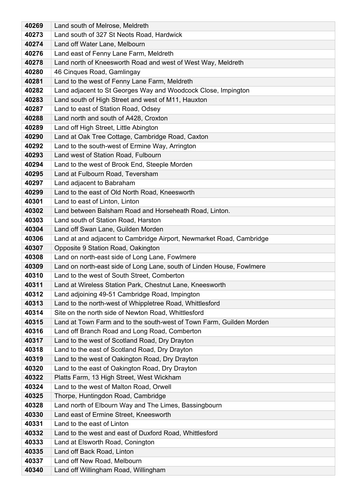| 40269          | Land south of Melrose, Meldreth                                                                                 |
|----------------|-----------------------------------------------------------------------------------------------------------------|
| 40273          | Land south of 327 St Neots Road, Hardwick                                                                       |
| 40274          | Land off Water Lane, Melbourn                                                                                   |
| 40276          | Land east of Fenny Lane Farm, Meldreth                                                                          |
| 40278          | Land north of Kneesworth Road and west of West Way, Meldreth                                                    |
| 40280          | 46 Cinques Road, Gamlingay                                                                                      |
| 40281          | Land to the west of Fenny Lane Farm, Meldreth                                                                   |
| 40282          | Land adjacent to St Georges Way and Woodcock Close, Impington                                                   |
| 40283          | Land south of High Street and west of M11, Hauxton                                                              |
| 40287          | Land to east of Station Road, Odsey                                                                             |
| 40288          | Land north and south of A428, Croxton                                                                           |
| 40289          | Land off High Street, Little Abington                                                                           |
| 40290          | Land at Oak Tree Cottage, Cambridge Road, Caxton                                                                |
| 40292          | Land to the south-west of Ermine Way, Arrington                                                                 |
| 40293          | Land west of Station Road, Fulbourn                                                                             |
| 40294          | Land to the west of Brook End, Steeple Morden                                                                   |
| 40295          | Land at Fulbourn Road, Teversham                                                                                |
| 40297          | Land adjacent to Babraham                                                                                       |
| 40299          | Land to the east of Old North Road, Kneesworth                                                                  |
| 40301          | Land to east of Linton, Linton                                                                                  |
| 40302          | Land between Balsham Road and Horseheath Road, Linton.                                                          |
| 40303          | Land south of Station Road, Harston                                                                             |
| 40304          | Land off Swan Lane, Guilden Morden                                                                              |
| 40306          | Land at and adjacent to Cambridge Airport, Newmarket Road, Cambridge                                            |
| 40307          | Opposite 9 Station Road, Oakington                                                                              |
| 40308          | Land on north-east side of Long Lane, Fowlmere                                                                  |
| 40309          | Land on north-east side of Long Lane, south of Linden House, Fowlmere                                           |
| 40310          | Land to the west of South Street, Comberton                                                                     |
| 40311          | Land at Wireless Station Park, Chestnut Lane, Kneesworth                                                        |
| 40312<br>40313 | Land adjoining 49-51 Cambridge Road, Impington                                                                  |
| 40314          | Land to the north-west of Whippletree Road, Whittlesford<br>Site on the north side of Newton Road, Whittlesford |
| 40315          | Land at Town Farm and to the south-west of Town Farm, Guilden Morden                                            |
| 40316          | Land off Branch Road and Long Road, Comberton                                                                   |
| 40317          | Land to the west of Scotland Road, Dry Drayton                                                                  |
| 40318          | Land to the east of Scotland Road, Dry Drayton                                                                  |
| 40319          | Land to the west of Oakington Road, Dry Drayton                                                                 |
| 40320          | Land to the east of Oakington Road, Dry Drayton                                                                 |
| 40322          | Platts Farm, 13 High Street, West Wickham                                                                       |
| 40324          | Land to the west of Malton Road, Orwell                                                                         |
| 40325          | Thorpe, Huntingdon Road, Cambridge                                                                              |
| 40328          | Land north of Elbourn Way and The Limes, Bassingbourn                                                           |
| 40330          | Land east of Ermine Street, Kneesworth                                                                          |
| 40331          | Land to the east of Linton                                                                                      |
| 40332          | Land to the west and east of Duxford Road, Whittlesford                                                         |
| 40333          | Land at Elsworth Road, Conington                                                                                |
| 40335          | Land off Back Road, Linton                                                                                      |
| 40337          | Land off New Road, Melbourn                                                                                     |
| 40340          | Land off Willingham Road, Willingham                                                                            |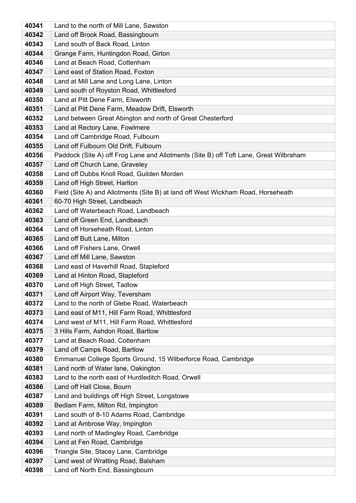| 40341          | Land to the north of Mill Lane, Sawston                                               |
|----------------|---------------------------------------------------------------------------------------|
| 40342          | Land off Brook Road, Bassingbourn                                                     |
| 40343          | Land south of Back Road, Linton                                                       |
| 40344          | Grange Farm, Huntingdon Road, Girton                                                  |
| 40346          | Land at Beach Road, Cottenham                                                         |
| 40347          | Land east of Station Road, Foxton                                                     |
| 40348          | Land at Mill Lane and Long Lane, Linton                                               |
| 40349          | Land south of Royston Road, Whittlesford                                              |
| 40350          | Land at Pitt Dene Farm, Elsworth                                                      |
| 40351          | Land at Pitt Dene Farm, Meadow Drift, Elsworth                                        |
| 40352          | Land between Great Abington and north of Great Chesterford                            |
| 40353          | Land at Rectory Lane, Fowlmere                                                        |
| 40354          | Land off Cambridge Road, Fulbourn                                                     |
| 40355          | Land off Fulbourn Old Drift, Fulbourn                                                 |
| 40356          | Paddock (Site A) off Frog Lane and Allotments (Site B) off Toft Lane, Great Wilbraham |
| 40357          | Land off Church Lane, Graveley                                                        |
| 40358          | Land off Dubbs Knoll Road, Guilden Morden                                             |
| 40359          | Land off High Street, Harlton                                                         |
| 40360          | Field (Site A) and Allotments (Site B) at land off West Wickham Road, Horseheath      |
| 40361          | 60-70 High Street, Landbeach                                                          |
| 40362          | Land off Waterbeach Road, Landbeach                                                   |
| 40363<br>40364 | Land off Green End, Landbeach<br>Land off Horseheath Road, Linton                     |
| 40365          |                                                                                       |
| 40366          | Land off Butt Lane, Milton<br>Land off Fishers Lane, Orwell                           |
| 40367          | Land off Mill Lane, Sawston                                                           |
| 40368          | Land east of Haverhill Road, Stapleford                                               |
| 40369          | Land at Hinton Road, Stapleford                                                       |
| 40370          | Land off High Street, Tadlow                                                          |
| 40371          | Land off Airport Way, Teversham                                                       |
| 40372          | Land to the north of Glebe Road, Waterbeach                                           |
| 40373          | Land east of M11, Hill Farm Road, Whittlesford                                        |
| 40374          | Land west of M11, Hill Farm Road, Whittlesford                                        |
| 40375          | 3 Hills Farm, Ashdon Road, Bartlow                                                    |
| 40377          | Land at Beach Road, Cottenham                                                         |
| 40379          | Land off Camps Road, Bartlow                                                          |
| 40380          | Emmanuel College Sports Ground, 15 Wilberforce Road, Cambridge                        |
| 40381          | Land north of Water lane, Oakington                                                   |
| 40383          | Land to the north east of Hurdleditch Road, Orwell                                    |
| 40386          | Land off Hall Close, Bourn                                                            |
| 40387          | Land and buildings off High Street, Longstowe                                         |
| 40389          | Bedlam Farm, Milton Rd, Impington                                                     |
| 40391          | Land south of 8-10 Adams Road, Cambridge                                              |
| 40392          | Land at Ambrose Way, Impington                                                        |
| 40393          | Land north of Madingley Road, Cambridge                                               |
| 40394          | Land at Fen Road, Cambridge                                                           |
| 40396          | Triangle Site, Stacey Lane, Cambridge                                                 |
| 40397          | Land west of Wratting Road, Balsham                                                   |
| 40398          | Land off North End, Bassingbourn                                                      |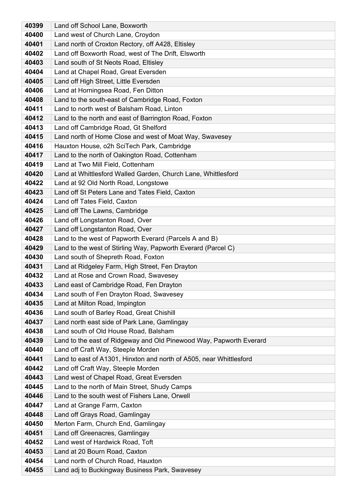| 40399          | Land off School Lane, Boxworth                                                                       |
|----------------|------------------------------------------------------------------------------------------------------|
| 40400          | Land west of Church Lane, Croydon                                                                    |
| 40401          | Land north of Croxton Rectory, off A428, Eltisley                                                    |
| 40402          | Land off Boxworth Road, west of The Drift, Elsworth                                                  |
| 40403          | Land south of St Neots Road, Eltisley                                                                |
| 40404          | Land at Chapel Road, Great Eversden                                                                  |
| 40405          | Land off High Street, Little Eversden                                                                |
| 40406          | Land at Horningsea Road, Fen Ditton                                                                  |
| 40408          | Land to the south-east of Cambridge Road, Foxton                                                     |
| 40411          | Land to north west of Balsham Road, Linton                                                           |
| 40412          | Land to the north and east of Barrington Road, Foxton                                                |
| 40413          | Land off Cambridge Road, Gt Shelford                                                                 |
| 40415          | Land north of Home Close and west of Moat Way, Swavesey                                              |
| 40416          | Hauxton House, o2h SciTech Park, Cambridge                                                           |
| 40417          | Land to the north of Oakington Road, Cottenham                                                       |
| 40419          | Land at Two Mill Field, Cottenham                                                                    |
| 40420          | Land at Whittlesford Walled Garden, Church Lane, Whittlesford                                        |
| 40422          | Land at 92 Old North Road, Longstowe                                                                 |
| 40423          | Land off St Peters Lane and Tates Field, Caxton                                                      |
| 40424          | Land off Tates Field, Caxton                                                                         |
| 40425          | Land off The Lawns, Cambridge                                                                        |
| 40426          | Land off Longstanton Road, Over                                                                      |
| 40427          | Land off Longstanton Road, Over                                                                      |
| 40428          | Land to the west of Papworth Everard (Parcels A and B)                                               |
| 40429<br>40430 | Land to the west of Stirling Way, Papworth Everard (Parcel C)<br>Land south of Shepreth Road, Foxton |
| 40431          | Land at Ridgeley Farm, High Street, Fen Drayton                                                      |
| 40432          | Land at Rose and Crown Road, Swavesey                                                                |
| 40433          | Land east of Cambridge Road, Fen Drayton                                                             |
| 40434          | Land south of Fen Drayton Road, Swavesey                                                             |
| 40435          | Land at Milton Road, Impington                                                                       |
| 40436          | Land south of Barley Road, Great Chishill                                                            |
| 40437          | Land north east side of Park Lane, Gamlingay                                                         |
| 40438          | Land south of Old House Road, Balsham                                                                |
| 40439          | Land to the east of Ridgeway and Old Pinewood Way, Papworth Everard                                  |
| 40440          | Land off Craft Way, Steeple Morden                                                                   |
| 40441          | Land to east of A1301, Hinxton and north of A505, near Whittlesford                                  |
| 40442          | Land off Craft Way, Steeple Morden                                                                   |
| 40443          | Land west of Chapel Road, Great Eversden                                                             |
| 40445          | Land to the north of Main Street, Shudy Camps                                                        |
| 40446          | Land to the south west of Fishers Lane, Orwell                                                       |
| 40447          | Land at Grange Farm, Caxton                                                                          |
| 40448          | Land off Grays Road, Gamlingay                                                                       |
| 40450          | Merton Farm, Church End, Gamlingay                                                                   |
| 40451          | Land off Greenacres, Gamlingay                                                                       |
| 40452          | Land west of Hardwick Road, Toft                                                                     |
| 40453          | Land at 20 Bourn Road, Caxton                                                                        |
| 40454          | Land north of Church Road, Hauxton                                                                   |
| 40455          | Land adj to Buckingway Business Park, Swavesey                                                       |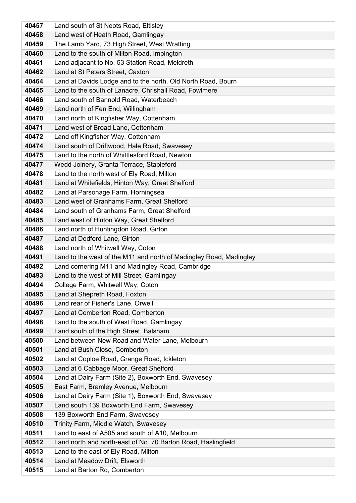| Land south of St Neots Road, Eltisley                                           |
|---------------------------------------------------------------------------------|
| Land west of Heath Road, Gamlingay                                              |
| The Lamb Yard, 73 High Street, West Wratting                                    |
| Land to the south of Milton Road, Impington                                     |
| Land adjacant to No. 53 Station Road, Meldreth                                  |
| Land at St Peters Street, Caxton                                                |
| Land at Davids Lodge and to the north, Old North Road, Bourn                    |
| Land to the south of Lanacre, Chrishall Road, Fowlmere                          |
| Land south of Bannold Road, Waterbeach                                          |
| Land north of Fen End, Willingham                                               |
| Land north of Kingfisher Way, Cottenham                                         |
| Land west of Broad Lane, Cottenham                                              |
| Land off Kingfisher Way, Cottenham                                              |
| Land south of Driftwood, Hale Road, Swavesey                                    |
| Land to the north of Whittlesford Road, Newton                                  |
| Wedd Joinery, Granta Terrace, Stapleford                                        |
| Land to the north west of Ely Road, Milton                                      |
| Land at Whitefields, Hinton Way, Great Shelford                                 |
| Land at Parsonage Farm, Horningsea                                              |
| Land west of Granhams Farm, Great Shelford                                      |
| Land south of Granhams Farm, Great Shelford                                     |
| Land west of Hinton Way, Great Shelford                                         |
| Land north of Huntingdon Road, Girton                                           |
| Land at Dodford Lane, Girton                                                    |
| Land north of Whitwell Way, Coton                                               |
| Land to the west of the M11 and north of Madingley Road, Madingley              |
| Land cornering M11 and Madingley Road, Cambridge                                |
| Land to the west of Mill Street, Gamlingay                                      |
| College Farm, Whitwell Way, Coton                                               |
| Land at Shepreth Road, Foxton                                                   |
| Land rear of Fisher's Lane, Orwell                                              |
| Land at Comberton Road, Comberton<br>Land to the south of West Road, Gamlingay  |
|                                                                                 |
| Land south of the High Street, Balsham                                          |
| Land between New Road and Water Lane, Melbourn<br>Land at Bush Close, Comberton |
| Land at Coploe Road, Grange Road, Ickleton                                      |
| Land at 6 Cabbage Moor, Great Shelford                                          |
| Land at Dairy Farm (Site 2), Boxworth End, Swavesey                             |
| East Farm, Bramley Avenue, Melbourn                                             |
| Land at Dairy Farm (Site 1), Boxworth End, Swavesey                             |
| Land south 139 Boxworth End Farm, Swavesey                                      |
| 139 Boxworth End Farm, Swavesey                                                 |
| Trinity Farm, Middle Watch, Swavesey                                            |
| Land to east of A505 and south of A10, Melbourn                                 |
| Land north and north-east of No. 70 Barton Road, Haslingfield                   |
| Land to the east of Ely Road, Milton                                            |
| Land at Meadow Drift, Elsworth                                                  |
|                                                                                 |
|                                                                                 |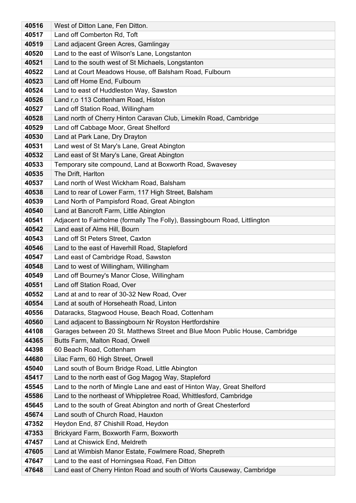| 40516          | West of Ditton Lane, Fen Ditton.                                                        |
|----------------|-----------------------------------------------------------------------------------------|
| 40517          | Land off Comberton Rd, Toft                                                             |
| 40519          | Land adjacent Green Acres, Gamlingay                                                    |
| 40520          | Land to the east of Wilson's Lane, Longstanton                                          |
| 40521          | Land to the south west of St Michaels, Longstanton                                      |
| 40522          | Land at Court Meadows House, off Balsham Road, Fulbourn                                 |
| 40523          | Land off Home End, Fulbourn                                                             |
| 40524          | Land to east of Huddleston Way, Sawston                                                 |
| 40526          | Land r,o 113 Cottenham Road, Histon                                                     |
| 40527          | Land off Station Road, Willingham                                                       |
| 40528          | Land north of Cherry Hinton Caravan Club, Limekiln Road, Cambridge                      |
| 40529          | Land off Cabbage Moor, Great Shelford                                                   |
| 40530          | Land at Park Lane, Dry Drayton                                                          |
| 40531          | Land west of St Mary's Lane, Great Abington                                             |
| 40532          | Land east of St Mary's Lane, Great Abington                                             |
| 40533          | Temporary site compound, Land at Boxworth Road, Swavesey                                |
| 40535          | The Drift, Harlton                                                                      |
| 40537          | Land north of West Wickham Road, Balsham                                                |
| 40538          | Land to rear of Lower Farm, 117 High Street, Balsham                                    |
| 40539          | Land North of Pampisford Road, Great Abington                                           |
| 40540          | Land at Bancroft Farm, Little Abington                                                  |
| 40541          | Adjacent to Fairholme (formally The Folly), Bassingbourn Road, Littlington              |
| 40542          | Land east of Alms Hill, Bourn                                                           |
| 40543          | Land off St Peters Street, Caxton                                                       |
| 40546          | Land to the east of Haverhill Road, Stapleford                                          |
| 40547          | Land east of Cambridge Road, Sawston                                                    |
| 40548          | Land to west of Willingham, Willingham                                                  |
| 40549          | Land off Bourney's Manor Close, Willingham                                              |
| 40551          | Land off Station Road, Over                                                             |
| 40552<br>40554 | Land at and to rear of 30-32 New Road, Over<br>Land at south of Horseheath Road, Linton |
| 40556          | Dataracks, Stagwood House, Beach Road, Cottenham                                        |
| 40560          | Land adjacent to Bassingbourn Nr Royston Hertfordshire                                  |
| 44108          | Garages between 20 St. Matthews Street and Blue Moon Public House, Cambridge            |
| 44365          | Butts Farm, Malton Road, Orwell                                                         |
| 44398          | 60 Beach Road, Cottenham                                                                |
| 44680          | Lilac Farm, 60 High Street, Orwell                                                      |
| 45040          | Land south of Bourn Bridge Road, Little Abington                                        |
| 45417          | Land to the north east of Gog Magog Way, Stapleford                                     |
| 45545          | Land to the north of Mingle Lane and east of Hinton Way, Great Shelford                 |
| 45586          | Land to the northeast of Whippletree Road, Whittlesford, Cambridge                      |
| 45645          | Land to the south of Great Abington and north of Great Chesterford                      |
| 45674          | Land south of Church Road, Hauxton                                                      |
| 47352          | Heydon End, 87 Chishill Road, Heydon                                                    |
| 47353          | Brickyard Farm, Boxworth Farm, Boxworth                                                 |
| 47457          | Land at Chiswick End, Meldreth                                                          |
| 47605          | Land at Wimbish Manor Estate, Fowlmere Road, Shepreth                                   |
| 47647          | Land to the east of Horningsea Road, Fen Ditton                                         |
| 47648          | Land east of Cherry Hinton Road and south of Worts Causeway, Cambridge                  |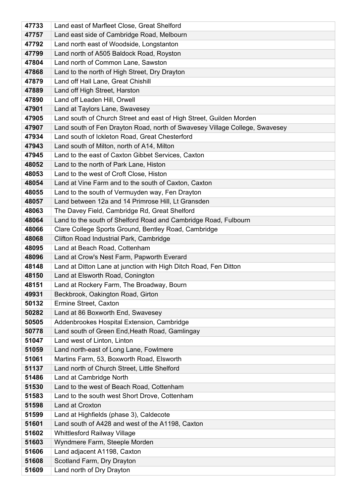| 47733          | Land east of Marfleet Close, Great Shelford                                                          |
|----------------|------------------------------------------------------------------------------------------------------|
| 47757          | Land east side of Cambridge Road, Melbourn                                                           |
| 47792          | Land north east of Woodside, Longstanton                                                             |
| 47799          | Land north of A505 Baldock Road, Royston                                                             |
| 47804          | Land north of Common Lane, Sawston                                                                   |
| 47868          | Land to the north of High Street, Dry Drayton                                                        |
| 47879          | Land off Hall Lane, Great Chishill                                                                   |
| 47889          | Land off High Street, Harston                                                                        |
| 47890          | Land off Leaden Hill, Orwell                                                                         |
| 47901          | Land at Taylors Lane, Swavesey                                                                       |
| 47905          | Land south of Church Street and east of High Street, Guilden Morden                                  |
| 47907          | Land south of Fen Drayton Road, north of Swavesey Village College, Swavesey                          |
| 47934          | Land south of Ickleton Road, Great Chesterford                                                       |
| 47943          | Land south of Milton, north of A14, Milton                                                           |
| 47945          | Land to the east of Caxton Gibbet Services, Caxton                                                   |
| 48052          | Land to the north of Park Lane, Histon                                                               |
| 48053          | Land to the west of Croft Close, Histon                                                              |
| 48054          | Land at Vine Farm and to the south of Caxton, Caxton                                                 |
| 48055          | Land to the south of Vermuyden way, Fen Drayton                                                      |
| 48057          | Land between 12a and 14 Primrose Hill, Lt Gransden                                                   |
| 48063          | The Davey Field, Cambridge Rd, Great Shelford                                                        |
| 48064          | Land to the south of Shelford Road and Cambridge Road, Fulbourn                                      |
| 48066          | Clare College Sports Ground, Bentley Road, Cambridge                                                 |
| 48068          | Clifton Road Industrial Park, Cambridge                                                              |
| 48095<br>48096 | Land at Beach Road, Cottenham<br>Land at Crow's Nest Farm, Papworth Everard                          |
| 48148          |                                                                                                      |
| 48150          | Land at Ditton Lane at junction with High Ditch Road, Fen Ditton<br>Land at Elsworth Road, Conington |
| 48151          | Land at Rockery Farm, The Broadway, Bourn                                                            |
| 49931          | Beckbrook, Oakington Road, Girton                                                                    |
| 50132          | Ermine Street, Caxton                                                                                |
| 50282          | Land at 86 Boxworth End, Swavesey                                                                    |
| 50505          | Addenbrookes Hospital Extension, Cambridge                                                           |
| 50778          | Land south of Green End, Heath Road, Gamlingay                                                       |
| 51047          | Land west of Linton, Linton                                                                          |
| 51059          | Land north-east of Long Lane, Fowlmere                                                               |
| 51061          | Martins Farm, 53, Boxworth Road, Elsworth                                                            |
| 51137          | Land north of Church Street, Little Shelford                                                         |
| 51486          | Land at Cambridge North                                                                              |
| 51530          | Land to the west of Beach Road, Cottenham                                                            |
| 51583          | Land to the south west Short Drove, Cottenham                                                        |
| 51598          | Land at Croxton                                                                                      |
| 51599          | Land at Highfields (phase 3), Caldecote                                                              |
| 51601          | Land south of A428 and west of the A1198, Caxton                                                     |
| 51602          | Whittlesford Railway Village                                                                         |
| 51603          | Wyndmere Farm, Steeple Morden                                                                        |
| 51606          | Land adjacent A1198, Caxton                                                                          |
| 51608          | Scotland Farm, Dry Drayton                                                                           |
| 51609          | Land north of Dry Drayton                                                                            |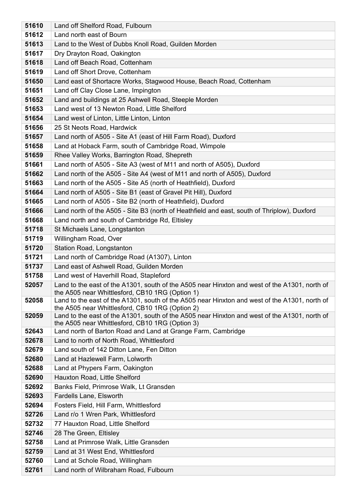| 51610 | Land off Shelford Road, Fulbourn                                                                                                                 |
|-------|--------------------------------------------------------------------------------------------------------------------------------------------------|
| 51612 | Land north east of Bourn                                                                                                                         |
| 51613 | Land to the West of Dubbs Knoll Road, Guilden Morden                                                                                             |
| 51617 | Dry Drayton Road, Oakington                                                                                                                      |
| 51618 | Land off Beach Road, Cottenham                                                                                                                   |
| 51619 | Land off Short Drove, Cottenham                                                                                                                  |
| 51650 | Land east of Shortacre Works, Stagwood House, Beach Road, Cottenham                                                                              |
| 51651 | Land off Clay Close Lane, Impington                                                                                                              |
| 51652 | Land and buildings at 25 Ashwell Road, Steeple Morden                                                                                            |
| 51653 | Land west of 13 Newton Road, Little Shelford                                                                                                     |
| 51654 | Land west of Linton, Little Linton, Linton                                                                                                       |
| 51656 | 25 St Neots Road, Hardwick                                                                                                                       |
| 51657 | Land north of A505 - Site A1 (east of Hill Farm Road), Duxford                                                                                   |
| 51658 | Land at Hoback Farm, south of Cambridge Road, Wimpole                                                                                            |
| 51659 | Rhee Valley Works, Barrington Road, Shepreth                                                                                                     |
| 51661 | Land north of A505 - Site A3 (west of M11 and north of A505), Duxford                                                                            |
| 51662 | Land north of the A505 - Site A4 (west of M11 and north of A505), Duxford                                                                        |
| 51663 | Land north of the A505 - Site A5 (north of Heathfield), Duxford                                                                                  |
| 51664 | Land north of A505 - Site B1 (east of Gravel Pit Hill), Duxford                                                                                  |
| 51665 | Land north of A505 - Site B2 (north of Heathfield), Duxford                                                                                      |
| 51666 | Land north of the A505 - Site B3 (north of Heathfield and east, south of Thriplow), Duxford                                                      |
| 51668 | Land north and south of Cambridge Rd, Eltisley                                                                                                   |
| 51718 | St Michaels Lane, Longstanton                                                                                                                    |
| 51719 | Willingham Road, Over                                                                                                                            |
| 51720 | Station Road, Longstanton                                                                                                                        |
| 51721 | Land north of Cambridge Road (A1307), Linton                                                                                                     |
| 51737 | Land east of Ashwell Road, Guilden Morden                                                                                                        |
| 51758 | Land west of Haverhill Road, Stapleford                                                                                                          |
| 52057 | Land to the east of the A1301, south of the A505 near Hinxton and west of the A1301, north of<br>the A505 near Whittlesford, CB10 1RG (Option 1) |
| 52058 | Land to the east of the A1301, south of the A505 near Hinxton and west of the A1301, north of                                                    |
|       | the A505 near Whittlesford, CB10 1RG (Option 2)                                                                                                  |
| 52059 | Land to the east of the A1301, south of the A505 near Hinxton and west of the A1301, north of                                                    |
| 52643 | the A505 near Whittlesford, CB10 1RG (Option 3)<br>Land north of Barton Road and Land at Grange Farm, Cambridge                                  |
| 52678 | Land to north of North Road, Whittlesford                                                                                                        |
| 52679 | Land south of 142 Ditton Lane, Fen Ditton                                                                                                        |
| 52680 | Land at Hazlewell Farm, Lolworth                                                                                                                 |
| 52688 | Land at Phypers Farm, Oakington                                                                                                                  |
| 52690 | Hauxton Road, Little Shelford                                                                                                                    |
| 52692 | Banks Field, Primrose Walk, Lt Gransden                                                                                                          |
| 52693 | <b>Fardells Lane, Elsworth</b>                                                                                                                   |
| 52694 | Fosters Field, Hill Farm, Whittlesford                                                                                                           |
| 52726 | Land r/o 1 Wren Park, Whittlesford                                                                                                               |
| 52732 | 77 Hauxton Road, Little Shelford                                                                                                                 |
| 52746 | 28 The Green, Eltisley                                                                                                                           |
| 52758 | Land at Primrose Walk, Little Gransden                                                                                                           |
| 52759 | Land at 31 West End, Whittlesford                                                                                                                |
| 52760 | Land at Schole Road, Willingham                                                                                                                  |
| 52761 | Land north of Wilbraham Road, Fulbourn                                                                                                           |